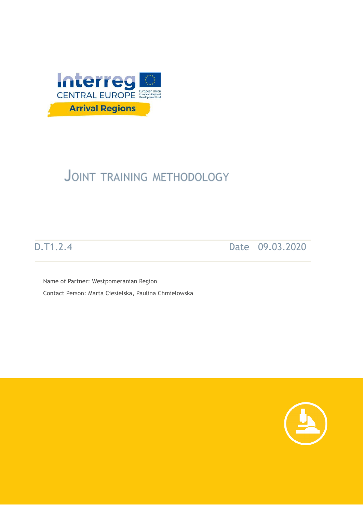

# **JOINT TRAINING METHODOLOGY**

D.T1.2.4 Date 09.03.2020

Name of Partner: Westpomeranian Region Contact Person: Marta Ciesielska, Paulina Chmielowska

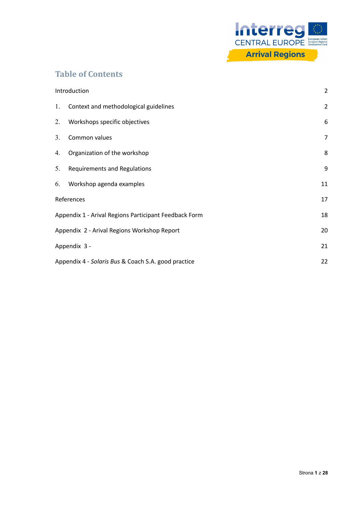

## **Table of Contents**

|                                                     | Introduction                                          | $\overline{2}$ |  |
|-----------------------------------------------------|-------------------------------------------------------|----------------|--|
| 1.                                                  | Context and methodological guidelines                 | $\overline{2}$ |  |
| 2.                                                  | Workshops specific objectives                         | 6              |  |
| 3.                                                  | Common values                                         | 7              |  |
| 4.                                                  | Organization of the workshop                          | 8              |  |
| 5.                                                  | Requirements and Regulations                          | 9              |  |
| 6.                                                  | Workshop agenda examples                              | 11             |  |
|                                                     | References                                            | 17             |  |
|                                                     | Appendix 1 - Arival Regions Participant Feedback Form | 18             |  |
|                                                     | Appendix 2 - Arival Regions Workshop Report           | 20             |  |
|                                                     | Appendix 3 -                                          | 21             |  |
| Appendix 4 - Solaris Bus & Coach S.A. good practice |                                                       |                |  |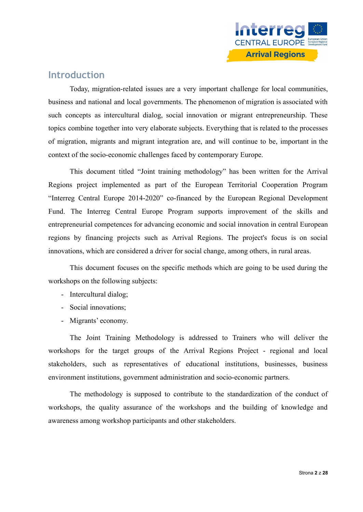

## <span id="page-2-0"></span>**Introduction**

Today, migration-related issues are a very important challenge for local communities, business and national and local governments. The phenomenon of migration is associated with such concepts as intercultural dialog, social innovation or migrant entrepreneurship. These topics combine together into very elaborate subjects. Everything that is related to the processes of migration, migrants and migrant integration are, and will continue to be, important in the context of the socio-economic challenges faced by contemporary Europe.

This document titled "Joint training methodology" has been written for the Arrival Regions project implemented as part of the European Territorial Cooperation Program "Interreg Central Europe 2014-2020" co-financed by the European Regional Development Fund. The Interreg Central Europe Program supports improvement of the skills and entrepreneurial competences for advancing economic and social innovation in central European regions by financing projects such as Arrival Regions. The project's focus is on social innovations, which are considered a driver for social change, among others, in rural areas.

This document focuses on the specific methods which are going to be used during the workshops on the following subjects:

- Intercultural dialog;
- Social innovations;
- Migrants' economy.

The Joint Training Methodology is addressed to Trainers who will deliver the workshops for the target groups of the Arrival Regions Project - regional and local stakeholders, such as representatives of educational institutions, businesses, business environment institutions, government administration and socio-economic partners.

The methodology is supposed to contribute to the standardization of the conduct of workshops, the quality assurance of the workshops and the building of knowledge and awareness among workshop participants and other stakeholders.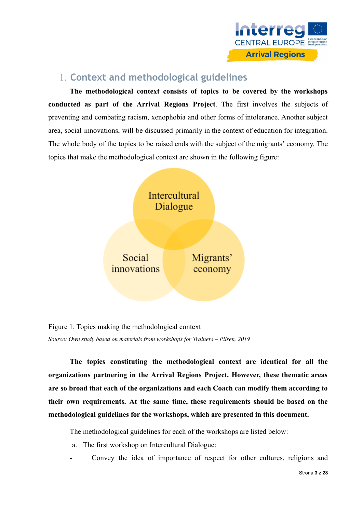

## <span id="page-3-0"></span>1. **Context and methodological guidelines**

**The methodological context consists of topics to be covered by the workshops conducted as part of the Arrival Regions Project**. The first involves the subjects of preventing and combating racism, xenophobia and other forms of intolerance. Another subject area, social innovations, will be discussed primarily in the context of education for integration. The whole body of the topics to be raised ends with the subject of the migrants' economy. The topics that make the methodological context are shown in the following figure:



Figure 1. Topics making the methodological context *Source: Own study based on materials from workshops for Trainers – Pilsen, 2019*

**The topics constituting the methodological context are identical for all the organizations partnering in the Arrival Regions Project. However, these thematic areas are so broad that each of the organizations and each Coach can modify them according to their own requirements. At the same time, these requirements should be based on the methodological guidelines for the workshops, which are presented in this document.**

The methodological guidelines for each of the workshops are listed below:

- a. The first workshop on Intercultural Dialogue:
- Convey the idea of importance of respect for other cultures, religions and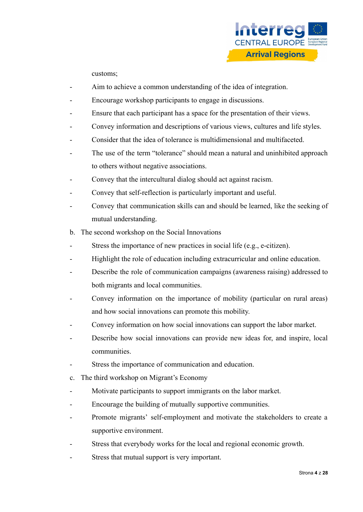

customs;

- Aim to achieve a common understanding of the idea of integration.
- Encourage workshop participants to engage in discussions.
- Ensure that each participant has a space for the presentation of their views.
- Convey information and descriptions of various views, cultures and life styles.
- Consider that the idea of tolerance is multidimensional and multifaceted.
- The use of the term "tolerance" should mean a natural and uninhibited approach to others without negative associations.
- Convey that the intercultural dialog should act against racism.
- Convey that self-reflection is particularly important and useful.
- Convey that communication skills can and should be learned, like the seeking of mutual understanding.
- b. The second workshop on the Social Innovations
- Stress the importance of new practices in social life (e.g., e-citizen).
- Highlight the role of education including extracurricular and online education.
- Describe the role of communication campaigns (awareness raising) addressed to both migrants and local communities.
- Convey information on the importance of mobility (particular on rural areas) and how social innovations can promote this mobility.
- Convey information on how social innovations can support the labor market.
- Describe how social innovations can provide new ideas for, and inspire, local communities.
- Stress the importance of communication and education.
- c. The third workshop on Migrant's Economy
- Motivate participants to support immigrants on the labor market.
- Encourage the building of mutually supportive communities.
- Promote migrants' self-employment and motivate the stakeholders to create a supportive environment.
- Stress that everybody works for the local and regional economic growth.
- Stress that mutual support is very important.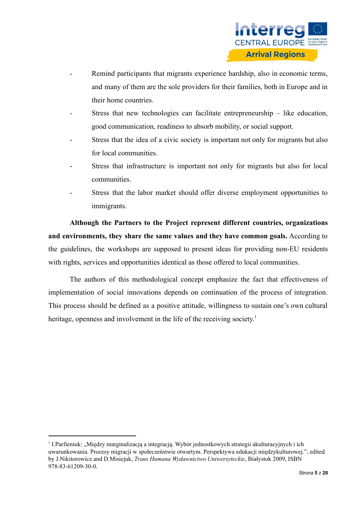- Remind participants that migrants experience hardship, also in economic terms, and many of them are the sole providers for their families, both in Europe and in their home countries.
- Stress that new technologies can facilitate entrepreneurship like education, good communication, readiness to absorb mobility, or social support.
- Stress that the idea of a civic society is important not only for migrants but also for local communities.
- Stress that infrastructure is important not only for migrants but also for local communities.
- Stress that the labor market should offer diverse employment opportunities to immigrants.

**Although the Partners to the Project represent different countries, organizations and environments, they share the same values and they have common goals.** According to the guidelines, the workshops are supposed to present ideas for providing non-EU residents with rights, services and opportunities identical as those offered to local communities.

The authors of this methodological concept emphasize the fact that effectiveness of implementation of social innovations depends on continuation of the process of integration. This process should be defined as a positive attitude, willingness to sustain one's own cultural heritage, openness and involvement in the life of the receiving society.<sup>1</sup>

<sup>&</sup>lt;sup>1</sup> I.Parfieniuk: "Między marginalizacją a integracją. Wybór jednostkowych strategii akulturacyjnych i ich uwarunkowania. Procesy migracji w społeczeństwie otwartym. Perspektywa edukacji międzykulturowej.", edited by J.Nikitorowicz and D.Misiejuk, *Trans Humana Wydawnictwo Uniwersyteckie*, Białystok 2009, ISBN 978-83-61209-30-0.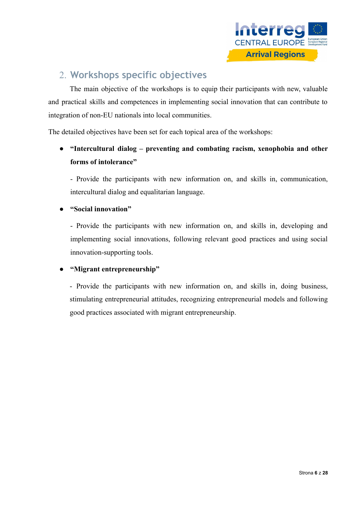

## <span id="page-6-0"></span>2. **Workshops specific objectives**

The main objective of the workshops is to equip their participants with new, valuable and practical skills and competences in implementing social innovation that can contribute to integration of non-EU nationals into local communities.

The detailed objectives have been set for each topical area of the workshops:

## ● **"Intercultural dialog – preventing and combating racism, xenophobia and other forms of intolerance"**

- Provide the participants with new information on, and skills in, communication, intercultural dialog and equalitarian language.

#### ● **"Social innovation"**

- Provide the participants with new information on, and skills in, developing and implementing social innovations, following relevant good practices and using social innovation-supporting tools.

#### ● **"Migrant entrepreneurship"**

- Provide the participants with new information on, and skills in, doing business, stimulating entrepreneurial attitudes, recognizing entrepreneurial models and following good practices associated with migrant entrepreneurship.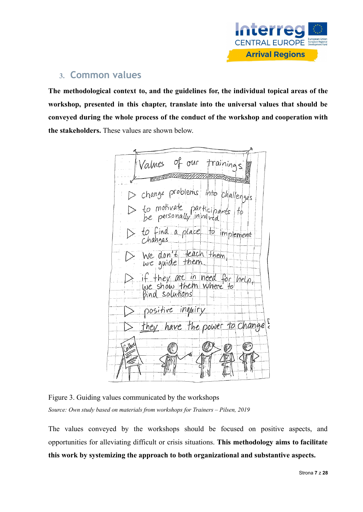

## <span id="page-7-0"></span>**3. Common values**

**The methodological context to, and the guidelines for, the individual topical areas of the workshop, presented in this chapter, translate into the universal values that should be conveyed during the whole process of the conduct of the workshop and cooperation with the stakeholders.** These values are shown below.



Figure 3. Guiding values communicated by the workshops *Source: Own study based on materials from workshops for Trainers – Pilsen, 2019*

The values conveyed by the workshops should be focused on positive aspects, and opportunities for alleviating difficult or crisis situations. **This methodology aims to facilitate this work by systemizing the approach to both organizational and substantive aspects.**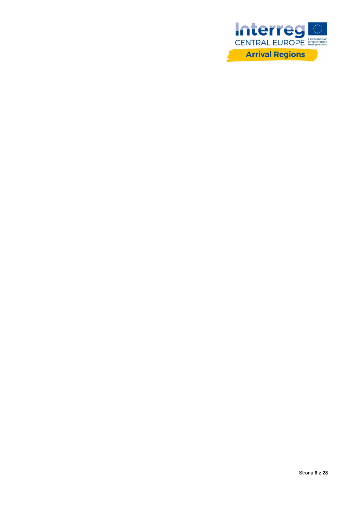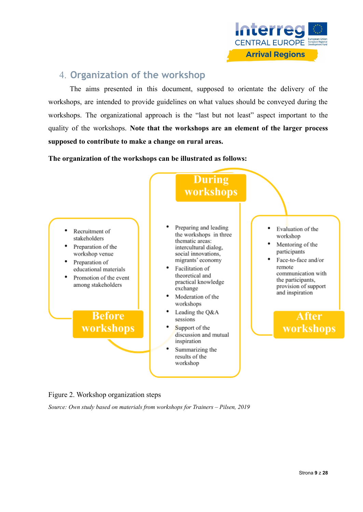

## <span id="page-9-0"></span>4. **Organization of the workshop**

The aims presented in this document, supposed to orientate the delivery of the workshops, are intended to provide guidelines on what values should be conveyed during the workshops. The organizational approach is the "last but not least" aspect important to the quality of the workshops. **Note that the workshops are an element of the larger process supposed to contribute to make a change on rural areas.**

**The organization of the workshops can be illustrated as follows:**



#### Figure 2. Workshop organization steps

*Source: Own study based on materials from workshops for Trainers – Pilsen, 2019*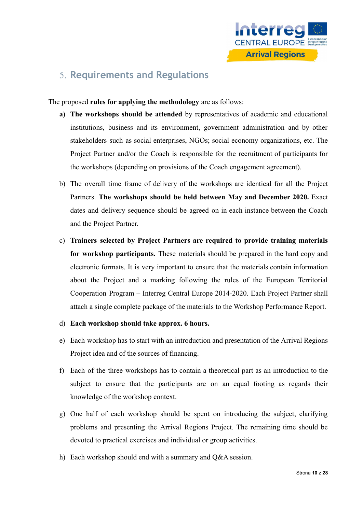

## <span id="page-10-0"></span>5. **Requirements and Regulations**

The proposed **rules for applying the methodology** are as follows:

- **a) The workshops should be attended** by representatives of academic and educational institutions, business and its environment, government administration and by other stakeholders such as social enterprises, NGOs; social economy organizations, etc. The Project Partner and/or the Coach is responsible for the recruitment of participants for the workshops (depending on provisions of the Coach engagement agreement).
- b) The overall time frame of delivery of the workshops are identical for all the Project Partners. **The workshops should be held between May and December 2020.** Exact dates and delivery sequence should be agreed on in each instance between the Coach and the Project Partner.
- c) **Trainers selected by Project Partners are required to provide training materials for workshop participants.** These materials should be prepared in the hard copy and electronic formats. It is very important to ensure that the materials contain information about the Project and a marking following the rules of the European Territorial Cooperation Program – Interreg Central Europe 2014-2020. Each Project Partner shall attach a single complete package of the materials to the Workshop Performance Report.
- d) **Each workshop should take approx. 6 hours.**
- e) Each workshop has to start with an introduction and presentation of the Arrival Regions Project idea and of the sources of financing.
- f) Each of the three workshops has to contain a theoretical part as an introduction to the subject to ensure that the participants are on an equal footing as regards their knowledge of the workshop context.
- g) One half of each workshop should be spent on introducing the subject, clarifying problems and presenting the Arrival Regions Project. The remaining time should be devoted to practical exercises and individual or group activities.
- h) Each workshop should end with a summary and Q&A session.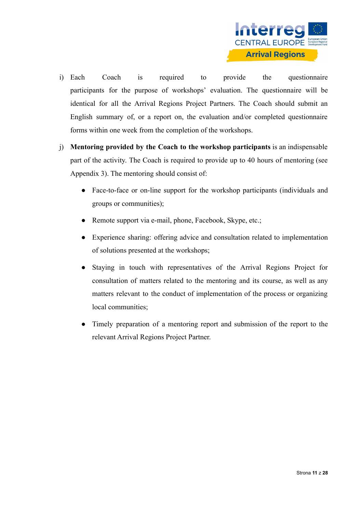

- i) Each Coach is required to provide the questionnaire participants for the purpose of workshops' evaluation. The questionnaire will be identical for all the Arrival Regions Project Partners. The Coach should submit an English summary of, or a report on, the evaluation and/or completed questionnaire forms within one week from the completion of the workshops.
- j) **Mentoring provided by the Coach to the workshop participants** is an indispensable part of the activity. The Coach is required to provide up to 40 hours of mentoring (see Appendix 3). The mentoring should consist of:
	- Face-to-face or on-line support for the workshop participants (individuals and groups or communities);
	- Remote support via e-mail, phone, Facebook, Skype, etc.;
	- Experience sharing: offering advice and consultation related to implementation of solutions presented at the workshops;
	- Staying in touch with representatives of the Arrival Regions Project for consultation of matters related to the mentoring and its course, as well as any matters relevant to the conduct of implementation of the process or organizing local communities;
	- Timely preparation of a mentoring report and submission of the report to the relevant Arrival Regions Project Partner.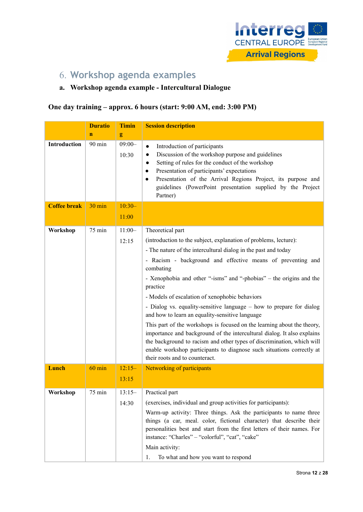

## <span id="page-12-0"></span>6. **Workshop agenda examples**

### **a. Workshop agenda example - Intercultural Dialogue**

### **One day training – approx. 6 hours (start: 9:00 AM, end: 3:00 PM)**

|                                                                                              | <b>Duratio</b><br>n | <b>Timin</b><br>g | <b>Session description</b>                                                                                                                                                                                                                                                                                                                                                                                                                                                                                                                                                                                                                                                                                                                                                                                                                    |  |  |  |
|----------------------------------------------------------------------------------------------|---------------------|-------------------|-----------------------------------------------------------------------------------------------------------------------------------------------------------------------------------------------------------------------------------------------------------------------------------------------------------------------------------------------------------------------------------------------------------------------------------------------------------------------------------------------------------------------------------------------------------------------------------------------------------------------------------------------------------------------------------------------------------------------------------------------------------------------------------------------------------------------------------------------|--|--|--|
| $09:00-$<br>Introduction<br>$90 \text{ min}$<br>$\bullet$<br>10:30<br>$\bullet$<br>$\bullet$ |                     |                   | Introduction of participants<br>Discussion of the workshop purpose and guidelines<br>Setting of rules for the conduct of the workshop<br>Presentation of participants' expectations<br>Presentation of the Arrival Regions Project, its purpose and<br>guidelines (PowerPoint presentation supplied by the Project<br>Partner)                                                                                                                                                                                                                                                                                                                                                                                                                                                                                                                |  |  |  |
| <b>Coffee break</b>                                                                          | 30 min              | $10:30-$<br>11:00 |                                                                                                                                                                                                                                                                                                                                                                                                                                                                                                                                                                                                                                                                                                                                                                                                                                               |  |  |  |
| Workshop                                                                                     | 75 min              | $11:00-$<br>12:15 | Theoretical part<br>(introduction to the subject, explanation of problems, lecture):<br>- The nature of the intercultural dialog in the past and today<br>- Racism - background and effective means of preventing and<br>combating<br>- Xenophobia and other "-isms" and "-phobias" – the origins and the<br>practice<br>- Models of escalation of xenophobic behaviors<br>- Dialog vs. equality-sensitive language – how to prepare for dialog<br>and how to learn an equality-sensitive language<br>This part of the workshops is focused on the learning about the theory,<br>importance and background of the intercultural dialog. It also explains<br>the background to racism and other types of discrimination, which will<br>enable workshop participants to diagnose such situations correctly at<br>their roots and to counteract. |  |  |  |
| Lunch                                                                                        | $60$ min            | $12:15-$<br>13:15 | Networking of participants                                                                                                                                                                                                                                                                                                                                                                                                                                                                                                                                                                                                                                                                                                                                                                                                                    |  |  |  |
| Workshop                                                                                     | 75 min              | $13:15-$<br>14:30 | Practical part<br>(exercises, individual and group activities for participants):<br>Warm-up activity: Three things. Ask the participants to name three<br>things (a car, meal. color, fictional character) that describe their<br>personalities best and start from the first letters of their names. For<br>instance: "Charles" - "colorful", "cat", "cake"<br>Main activity:<br>To what and how you want to respond<br>l.                                                                                                                                                                                                                                                                                                                                                                                                                   |  |  |  |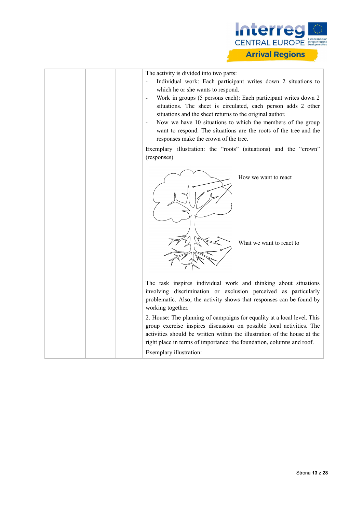

The activity is divided into two parts: - Individual work: Each participant writes down 2 situations to which he or she wants to respond. Work in groups (5 persons each): Each participant writes down 2 situations. The sheet is circulated, each person adds 2 other situations and the sheet returns to the original author. Now we have 10 situations to which the members of the group want to respond. The situations are the roots of the tree and the responses make the crown of the tree. Exemplary illustration: the "roots" (situations) and the "crown" (responses) How we want to react What we want to react to The task inspires individual work and thinking about situations involving discrimination or exclusion perceived as particularly problematic. Also, the activity shows that responses can be found by working together. 2. House: The planning of campaigns for equality at a local level. This group exercise inspires discussion on possible local activities. The activities should be written within the illustration of the house at the right place in terms of importance: the foundation, columns and roof. Exemplary illustration: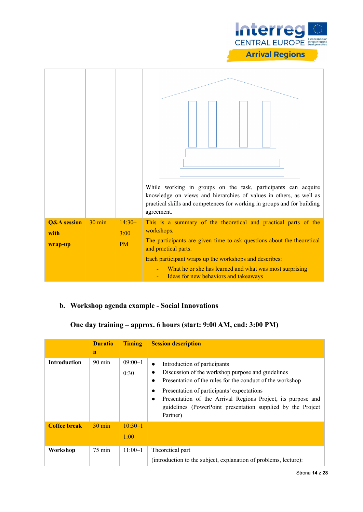



#### **b. Workshop agenda example - Social Innovations**

#### **One day training – approx. 6 hours (start: 9:00 AM, end: 3:00 PM)**

|                     | <b>Duratio</b>   | <b>Timing</b>     | <b>Session description</b>                                                                                                                                                                                                                                                                                                                                        |
|---------------------|------------------|-------------------|-------------------------------------------------------------------------------------------------------------------------------------------------------------------------------------------------------------------------------------------------------------------------------------------------------------------------------------------------------------------|
|                     | n                |                   |                                                                                                                                                                                                                                                                                                                                                                   |
| <b>Introduction</b> | $90 \text{ min}$ | $09:00-1$<br>0:30 | Introduction of participants<br>$\bullet$<br>Discussion of the workshop purpose and guidelines<br>Presentation of the rules for the conduct of the workshop<br>$\bullet$<br>Presentation of participants' expectations<br>Presentation of the Arrival Regions Project, its purpose and<br>guidelines (PowerPoint presentation supplied by the Project<br>Partner) |
| <b>Coffee break</b> | $30 \text{ min}$ | $10:30-1$<br>1:00 |                                                                                                                                                                                                                                                                                                                                                                   |
| Workshop            | $75 \text{ min}$ | $11:00-1$         | Theoretical part<br>(introduction to the subject, explanation of problems, lecture):                                                                                                                                                                                                                                                                              |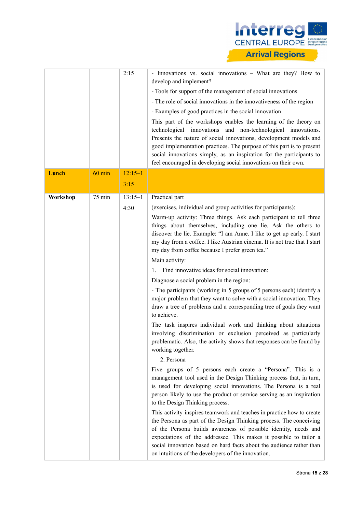

|          |                  | 2:15                | - Innovations vs. social innovations - What are they? How to<br>develop and implement?<br>- Tools for support of the management of social innovations<br>- The role of social innovations in the innovativeness of the region<br>- Examples of good practices in the social innovation<br>This part of the workshops enables the learning of the theory on                                                        |
|----------|------------------|---------------------|-------------------------------------------------------------------------------------------------------------------------------------------------------------------------------------------------------------------------------------------------------------------------------------------------------------------------------------------------------------------------------------------------------------------|
|          |                  |                     | technological innovations and non-technological<br>innovations.<br>Presents the nature of social innovations, development models and<br>good implementation practices. The purpose of this part is to present<br>social innovations simply, as an inspiration for the participants to<br>feel encouraged in developing social innovations on their own.                                                           |
| Lunch    | $60 \text{ min}$ | $12:15 - 1$<br>3:15 |                                                                                                                                                                                                                                                                                                                                                                                                                   |
|          | 75 min           |                     |                                                                                                                                                                                                                                                                                                                                                                                                                   |
| Workshop |                  | $13:15 - 1$<br>4:30 | Practical part<br>(exercises, individual and group activities for participants):                                                                                                                                                                                                                                                                                                                                  |
|          |                  |                     | Warm-up activity: Three things. Ask each participant to tell three<br>things about themselves, including one lie. Ask the others to<br>discover the lie. Example: "I am Anne. I like to get up early. I start<br>my day from a coffee. I like Austrian cinema. It is not true that I start<br>my day from coffee because I prefer green tea."                                                                     |
|          |                  |                     | Main activity:                                                                                                                                                                                                                                                                                                                                                                                                    |
|          |                  |                     | Find innovative ideas for social innovation:<br>$\mathbf{1}$                                                                                                                                                                                                                                                                                                                                                      |
|          |                  |                     | Diagnose a social problem in the region:<br>- The participants (working in 5 groups of 5 persons each) identify a<br>major problem that they want to solve with a social innovation. They<br>draw a tree of problems and a corresponding tree of goals they want<br>to achieve.                                                                                                                                   |
|          |                  |                     | The task inspires individual work and thinking about situations<br>involving discrimination or exclusion perceived as particularly<br>problematic. Also, the activity shows that responses can be found by<br>working together.<br>2. Persona                                                                                                                                                                     |
|          |                  |                     | Five groups of 5 persons each create a "Persona". This is a<br>management tool used in the Design Thinking process that, in turn,<br>is used for developing social innovations. The Persona is a real<br>person likely to use the product or service serving as an inspiration<br>to the Design Thinking process.                                                                                                 |
|          |                  |                     | This activity inspires teamwork and teaches in practice how to create<br>the Persona as part of the Design Thinking process. The conceiving<br>of the Persona builds awareness of possible identity, needs and<br>expectations of the addressee. This makes it possible to tailor a<br>social innovation based on hard facts about the audience rather than<br>on intuitions of the developers of the innovation. |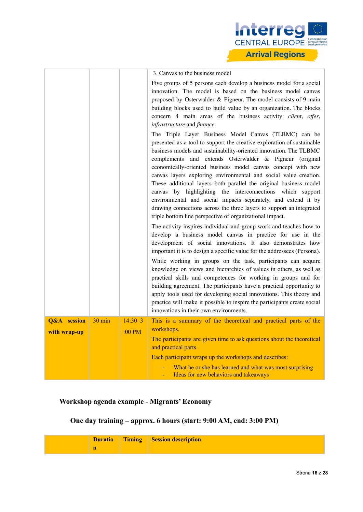

|                        |        |             | 3. Canvas to the business model                                                                                                                                                                                                                                                                                                                                                                                                                                                                                                                                                                                                                                                                                                                                                                                                                                                                                                                  |
|------------------------|--------|-------------|--------------------------------------------------------------------------------------------------------------------------------------------------------------------------------------------------------------------------------------------------------------------------------------------------------------------------------------------------------------------------------------------------------------------------------------------------------------------------------------------------------------------------------------------------------------------------------------------------------------------------------------------------------------------------------------------------------------------------------------------------------------------------------------------------------------------------------------------------------------------------------------------------------------------------------------------------|
|                        |        |             | Five groups of 5 persons each develop a business model for a social<br>innovation. The model is based on the business model canvas<br>proposed by Osterwalder & Pigneur. The model consists of 9 main<br>building blocks used to build value by an organization. The blocks<br>concern 4 main areas of the business activity: client, offer,<br>infrastructure and finance.                                                                                                                                                                                                                                                                                                                                                                                                                                                                                                                                                                      |
|                        |        |             | The Triple Layer Business Model Canvas (TLBMC) can be<br>presented as a tool to support the creative exploration of sustainable<br>business models and sustainability-oriented innovation. The TLBMC<br>complements and extends Osterwalder & Pigneur (original<br>economically-oriented business model canvas concept with new<br>canvas layers exploring environmental and social value creation.<br>These additional layers both parallel the original business model<br>by highlighting the interconnections which support<br>canvas<br>environmental and social impacts separately, and extend it by<br>drawing connections across the three layers to support an integrated<br>triple bottom line perspective of organizational impact.<br>The activity inspires individual and group work and teaches how to<br>develop a business model canvas in practice for use in the<br>development of social innovations. It also demonstrates how |
|                        |        |             | important it is to design a specific value for the addressees (Persona).<br>While working in groups on the task, participants can acquire<br>knowledge on views and hierarchies of values in others, as well as<br>practical skills and competences for working in groups and for<br>building agreement. The participants have a practical opportunity to<br>apply tools used for developing social innovations. This theory and<br>practice will make it possible to inspire the participants create social<br>innovations in their own environments.                                                                                                                                                                                                                                                                                                                                                                                           |
| <b>Q&amp;A</b> session | 30 min | $14:30 - 3$ | This is a summary of the theoretical and practical parts of the                                                                                                                                                                                                                                                                                                                                                                                                                                                                                                                                                                                                                                                                                                                                                                                                                                                                                  |
| with wrap-up           |        | :00 PM      | workshops.                                                                                                                                                                                                                                                                                                                                                                                                                                                                                                                                                                                                                                                                                                                                                                                                                                                                                                                                       |
|                        |        |             | The participants are given time to ask questions about the theoretical<br>and practical parts.                                                                                                                                                                                                                                                                                                                                                                                                                                                                                                                                                                                                                                                                                                                                                                                                                                                   |
|                        |        |             | Each participant wraps up the workshops and describes:                                                                                                                                                                                                                                                                                                                                                                                                                                                                                                                                                                                                                                                                                                                                                                                                                                                                                           |
|                        |        |             | What he or she has learned and what was most surprising<br>Ideas for new behaviors and takeaways                                                                                                                                                                                                                                                                                                                                                                                                                                                                                                                                                                                                                                                                                                                                                                                                                                                 |

#### **Workshop agenda example - Migrants' Economy**

### **One day training – approx. 6 hours (start: 9:00 AM, end: 3:00 PM)**

|  | <b>Duratio</b> Timing Session description |
|--|-------------------------------------------|
|  |                                           |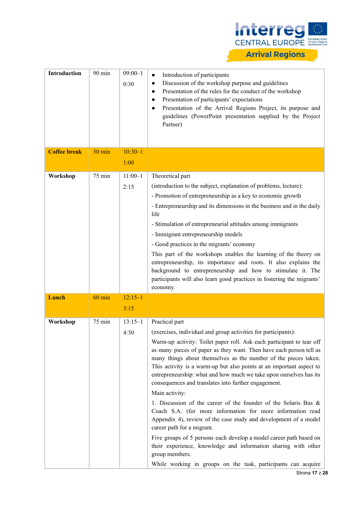

| <b>Introduction</b> | 90 min   | $09:00-1$<br>0:30   | Introduction of participants<br>$\bullet$<br>Discussion of the workshop purpose and guidelines<br>$\bullet$<br>Presentation of the rules for the conduct of the workshop<br>$\bullet$<br>Presentation of participants' expectations<br>$\bullet$<br>Presentation of the Arrival Regions Project, its purpose and<br>$\bullet$<br>guidelines (PowerPoint presentation supplied by the Project<br>Partner)                                                                                                                                                                                                                                                                                                                                                                                                                                                                                                                                                                                     |
|---------------------|----------|---------------------|----------------------------------------------------------------------------------------------------------------------------------------------------------------------------------------------------------------------------------------------------------------------------------------------------------------------------------------------------------------------------------------------------------------------------------------------------------------------------------------------------------------------------------------------------------------------------------------------------------------------------------------------------------------------------------------------------------------------------------------------------------------------------------------------------------------------------------------------------------------------------------------------------------------------------------------------------------------------------------------------|
| <b>Coffee break</b> | 30 min   | $10:30 - 1$<br>1:00 |                                                                                                                                                                                                                                                                                                                                                                                                                                                                                                                                                                                                                                                                                                                                                                                                                                                                                                                                                                                              |
|                     |          |                     |                                                                                                                                                                                                                                                                                                                                                                                                                                                                                                                                                                                                                                                                                                                                                                                                                                                                                                                                                                                              |
| Workshop            | 75 min   | $11:00-1$<br>2:15   | Theoretical part<br>(introduction to the subject, explanation of problems, lecture):<br>- Promotion of entrepreneurship as a key to economic growth<br>- Entrepreneurship and its dimensions in the business and in the daily<br>life<br>- Stimulation of entrepreneurial attitudes among immigrants<br>- Immigrant entrepreneurship models<br>- Good practices in the migrants' economy<br>This part of the workshops enables the learning of the theory on<br>entrepreneurship, its importance and roots. It also explains the<br>background to entrepreneurship and how to stimulate it. The<br>participants will also learn good practices in fostering the migrants'<br>economy.                                                                                                                                                                                                                                                                                                        |
| Lunch               | $60$ min | $12:15 - 1$<br>3:15 |                                                                                                                                                                                                                                                                                                                                                                                                                                                                                                                                                                                                                                                                                                                                                                                                                                                                                                                                                                                              |
| Workshop            | 75 min   | $13:15-1$<br>4:30   | Practical part<br>(exercises, individual and group activities for participants):<br>Warm-up activity: Toilet paper roll. Ask each participant to tear off<br>as many pieces of paper as they want. Then have each person tell as<br>many things about themselves as the number of the pieces taken.<br>This activity is a warm-up but also points at an important aspect to<br>entrepreneurship: what and how much we take upon ourselves has its<br>consequences and translates into further engagement.<br>Main activity:<br>1. Discussion of the career of the founder of the Solaris Bus $\&$<br>Coach S.A. (for more information for more information read<br>Appendix 4), review of the case study and development of a model<br>career path for a migrant.<br>Five groups of 5 persons each develop a model career path based on<br>their experience, knowledge and information sharing with other<br>group members.<br>While working in groups on the task, participants can acquire |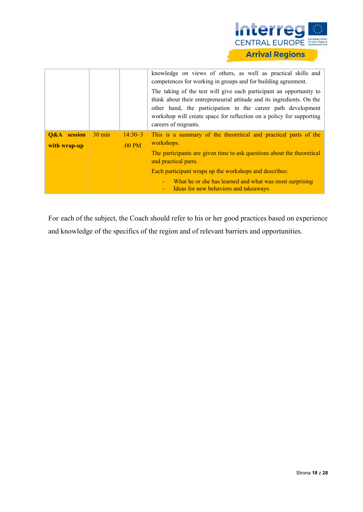

|                                        |                  |                       | knowledge on views of others, as well as practical skills and<br>competences for working in groups and for building agreement.<br>The taking of the test will give each participant an opportunity to<br>think about their entrepreneurial attitude and its ingredients. On the<br>other hand, the participation in the career path development<br>workshop will create space for reflection on a policy for supporting<br>careers of migrants. |  |
|----------------------------------------|------------------|-----------------------|-------------------------------------------------------------------------------------------------------------------------------------------------------------------------------------------------------------------------------------------------------------------------------------------------------------------------------------------------------------------------------------------------------------------------------------------------|--|
| <b>Q&amp;A</b> session<br>with wrap-up | $30 \text{ min}$ | $14:30 - 3$<br>:00 PM | This is a summary of the theoretical and practical parts of the<br>workshops.<br>The participants are given time to ask questions about the theoretical<br>and practical parts.<br>Each participant wraps up the workshops and describes:<br>What he or she has learned and what was most surprising<br>Ideas for new behaviors and takeaways<br>$\blacksquare$                                                                                 |  |

For each of the subject, the Coach should refer to his or her good practices based on experience and knowledge of the specifics of the region and of relevant barriers and opportunities.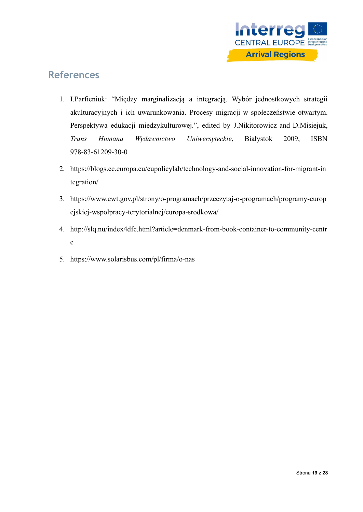

## <span id="page-19-0"></span>**References**

- 1. I.Parfieniuk: "Między marginalizacją a integracją. Wybór jednostkowych strategii akulturacyjnych i ich uwarunkowania. Procesy migracji w społeczeństwie otwartym. Perspektywa edukacji międzykulturowej.", edited by J.Nikitorowicz and D.Misiejuk, *Trans Humana Wydawnictwo Uniwersyteckie*, Białystok 2009, ISBN 978-83-61209-30-0
- 2. https://blogs.ec.europa.eu/eupolicylab/technology-and-social-innovation-for-migrant-in tegration/
- 3. https://www.ewt.gov.pl/strony/o-programach/przeczytaj-o-programach/programy-europ ejskiej-wspolpracy-terytorialnej/europa-srodkowa/
- 4. http://slq.nu/index4dfc.html?article=denmark-from-book-container-to-community-centr e
- 5. https://www.solarisbus.com/pl/firma/o-nas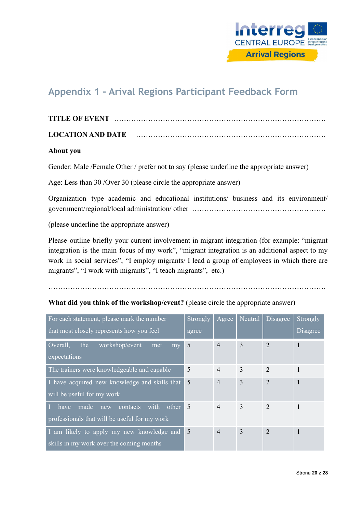

## <span id="page-20-0"></span>**Appendix 1 - Arival Regions Participant Feedback Form**

### **TITLE OF EVENT** ……………………………………………………………………………

#### **LOCATION AND DATE** ……………………………………………………………………

#### **About you**

Gender: Male /Female Other / prefer not to say (please underline the appropriate answer)

Age: Less than 30 /Over 30 (please circle the appropriate answer)

Organization type academic and educational institutions/ business and its environment/ government/regional/local administration/ other ……………………………………………….

(please underline the appropriate answer)

Please outline briefly your current involvement in migrant integration (for example: "migrant integration is the main focus of my work", "migrant integration is an additional aspect to my work in social services", "I employ migrants/ I lead a group of employees in which there are migrants", "I work with migrants", "I teach migrants", etc.)

#### **What did you think of the workshop/event?** (please circle the appropriate answer)

| For each statement, please mark the number                                                                          | Strongly | Agree          | Neutral        | <b>Disagree</b> | <b>Strongly</b> |
|---------------------------------------------------------------------------------------------------------------------|----------|----------------|----------------|-----------------|-----------------|
| that most closely represents how you feel                                                                           | agree    |                |                |                 | Disagree        |
| Overall,<br>the<br>workshop/event<br>met<br>my<br>expectations                                                      | 5        | $\overline{4}$ | 3              | $\overline{2}$  | 1               |
| The trainers were knowledgeable and capable                                                                         | 5        | $\overline{4}$ | 3              | $\overline{2}$  |                 |
| I have acquired new knowledge and skills that<br>will be useful for my work                                         | 5        | $\overline{4}$ | $\overline{3}$ | $\overline{2}$  |                 |
| with<br>other<br>$\blacksquare$<br>made<br>contacts<br>have<br>new<br>professionals that will be useful for my work | 5        | $\overline{4}$ | 3              | $\overline{2}$  |                 |
| I am likely to apply my new knowledge and<br>skills in my work over the coming months                               | 5        | $\overline{4}$ | 3              | $\overline{2}$  |                 |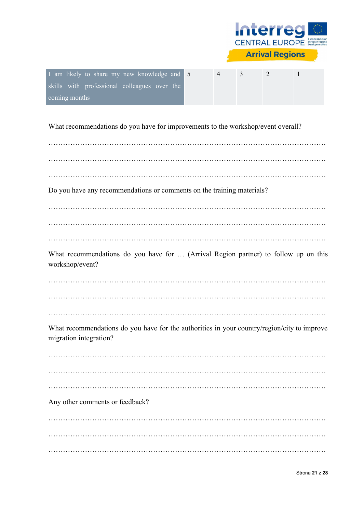

I am likely to share my new knowledge and skills with professional colleagues over the coming months 5 4 3 2 1

What recommendations do you have for improvements to the workshop/event overall?

…………………………………………………………………………………………………… …………………………………………………………………………………………………… Do you have any recommendations or comments on the training materials? …………………………………………………………………………………………………… ……………………………………………………………………………………………………

What recommendations do you have for ... (Arrival Region partner) to follow up on this workshop/event?

…………………………………………………………………………………………………… …………………………………………………………………………………………………… ……………………………………………………………………………………………………

What recommendations do you have for the authorities in your country/region/city to improve migration integration?

…………………………………………………………………………………………………… …………………………………………………………………………………………………… Any other comments or feedback? ……………………………………………………………………………………………………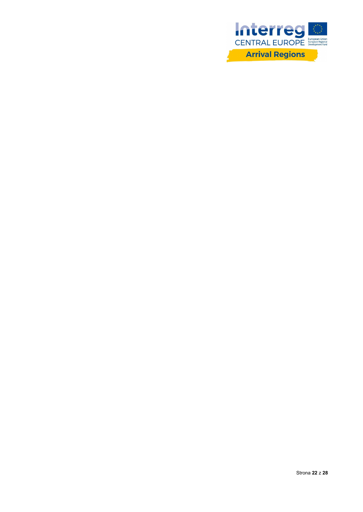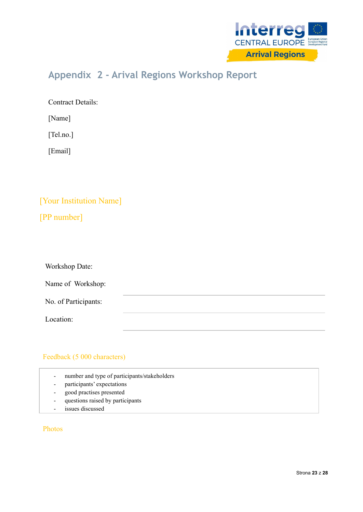

## <span id="page-23-0"></span>**Appendix 2 - Arival Regions Workshop Report**

[Name]

[Tel.no.]

[Email]

### [Your Institution Name]

[PP number]

| Workshop Date:       |  |  |
|----------------------|--|--|
| Name of Workshop:    |  |  |
| No. of Participants: |  |  |
| Location:            |  |  |

#### Feedback (5 000 characters)

- number and type of participants/stakeholders
- participants' expectations
- good practises presented
- questions raised by participants
- issues discussed

Photos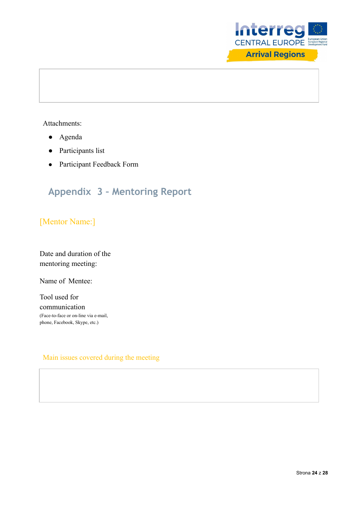

Attachments:

- Agenda
- Participants list
- Participant Feedback Form

## <span id="page-24-0"></span>**Appendix 3 – Mentoring Report**

#### [Mentor Name:]

Date and duration of the mentoring meeting:

Name of Mentee:

Tool used for communication (Face-to-face or on-line via e-mail, phone, Facebook, Skype, etc.)

#### Main issues covered during the meeting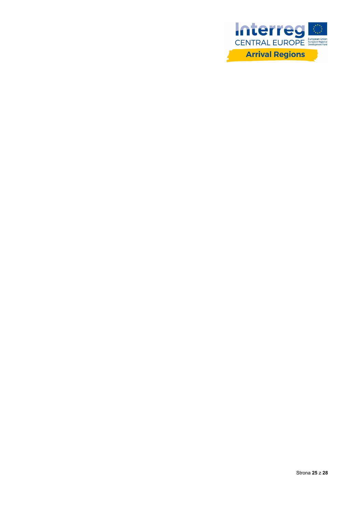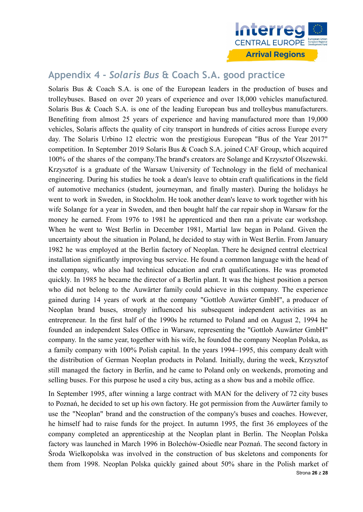

## <span id="page-26-0"></span>**Appendix 4 -** *Solaris Bus* **& Coach S.A. good practice**

Solaris Bus & Coach S.A. is one of the European leaders in the production of buses and trolleybuses. Based on over 20 years of experience and over 18,000 vehicles manufactured. Solaris Bus & Coach S.A. is one of the leading European bus and trolleybus manufacturers. Benefiting from almost 25 years of experience and having manufactured more than 19,000 vehicles, Solaris affects the quality of city transport in hundreds of cities across Europe every day. The Solaris Urbino 12 electric won the prestigious European "Bus of the Year 2017" competition. In September 2019 Solaris Bus & Coach S.A. joined CAF Group, which acquired 100% of the shares of the company.The brand's creators are Solange and Krzysztof Olszewski. Krzysztof is a graduate of the Warsaw University of Technology in the field of mechanical engineering. During his studies he took a dean's leave to obtain craft qualifications in the field of automotive mechanics (student, journeyman, and finally master). During the holidays he went to work in Sweden, in Stockholm. He took another dean's leave to work together with his wife Solange for a year in Sweden, and then bought half the car repair shop in Warsaw for the money he earned. From 1976 to 1981 he apprenticed and then ran a private car workshop. When he went to West Berlin in December 1981, Martial law began in Poland. Given the uncertainty about the situation in Poland, he decided to stay with in West Berlin. From January 1982 he was employed at the Berlin factory of Neoplan. There he designed central electrical installation significantly improving bus service. He found a common language with the head of the company, who also had technical education and craft qualifications. He was promoted quickly. In 1985 he became the director of a Berlin plant. It was the highest position a person who did not belong to the Auwärter family could achieve in this company. The experience gained during 14 years of work at the company "Gottlob Auwärter GmbH", a producer of Neoplan brand buses, strongly influenced his subsequent independent activities as an entrepreneur. In the first half of the 1990s he returned to Poland and on August 2, 1994 he founded an independent Sales Office in Warsaw, representing the "Gottlob Auwärter GmbH" company. In the same year, together with his wife, he founded the company Neoplan Polska, as a family company with 100% Polish capital. In the years 1994–1995, this company dealt with the distribution of German Neoplan products in Poland. Initially, during the week, Krzysztof still managed the factory in Berlin, and he came to Poland only on weekends, promoting and selling buses. For this purpose he used a city bus, acting as a show bus and a mobile office.

In September 1995, after winning a large contract with MAN for the delivery of 72 city buses to Poznań, he decided to set up his own factory. He got permission from the Auwärter family to use the "Neoplan" brand and the construction of the company's buses and coaches. However, he himself had to raise funds for the project. In autumn 1995, the first 36 employees of the company completed an apprenticeship at the Neoplan plant in Berlin. The Neoplan Polska factory was launched in March 1996 in Bolechów-Osiedle near Poznań. The second factory in Środa Wielkopolska was involved in the construction of bus skeletons and components for them from 1998. Neoplan Polska quickly gained about 50% share in the Polish market of Strona **26** z **28**